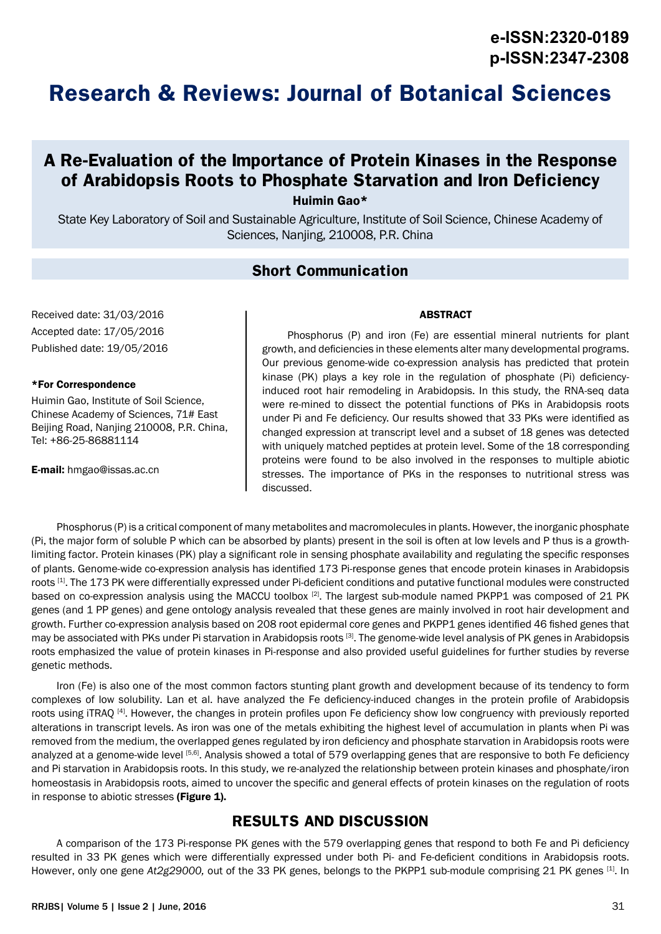# **Research & Reviews: Journal of Botanical Sciences**

## **A Re-Evaluation of the Importance of Protein Kinases in the Response of Arabidopsis Roots to Phosphate Starvation and Iron Deficiency**

Huimin Gao\*

State Key Laboratory of Soil and Sustainable Agriculture, Institute of Soil Science, Chinese Academy of Sciences, Nanjing, 210008, P.R. China

### **Short Communication**

Received date: 31/03/2016 Accepted date: 17/05/2016 Published date: 19/05/2016

#### \*For Correspondence

Huimin Gao, Institute of Soil Science, Chinese Academy of Sciences, 71# East Beijing Road, Nanjing 210008, P.R. China, Tel: +86-25-86881114

E-mail: hmgao@issas.ac.cn

Phosphorus (P) and iron (Fe) are essential mineral nutrients for plant growth, and deficiencies in these elements alter many developmental programs. Our previous genome-wide co-expression analysis has predicted that protein kinase (PK) plays a key role in the regulation of phosphate (Pi) deficiencyinduced root hair remodeling in Arabidopsis. In this study, the RNA-seq data were re-mined to dissect the potential functions of PKs in Arabidopsis roots under Pi and Fe deficiency. Our results showed that 33 PKs were identified as changed expression at transcript level and a subset of 18 genes was detected with uniquely matched peptides at protein level. Some of the 18 corresponding proteins were found to be also involved in the responses to multiple abiotic stresses. The importance of PKs in the responses to nutritional stress was discussed.

ABSTRACT

Phosphorus (P) is a critical component of many metabolites and macromolecules in plants. However, the inorganic phosphate (Pi, the major form of soluble P which can be absorbed by plants) present in the soil is often at low levels and P thus is a growthlimiting factor. Protein kinases (PK) play a significant role in sensing phosphate availability and regulating the specific responses of plants. Genome-wide co-expression analysis has identified 173 Pi-response genes that encode protein kinases in Arabidopsis roots [1]. The 173 PK were differentially expressed under Pi-deficient conditions and putative functional modules were constructed based on co-expression analysis using the MACCU toolbox [2]. The largest sub-module named PKPP1 was composed of 21 PK genes (and 1 PP genes) and gene ontology analysis revealed that these genes are mainly involved in root hair development and growth. Further co-expression analysis based on 208 root epidermal core genes and PKPP1 genes identified 46 fished genes that may be associated with PKs under Pi starvation in Arabidopsis roots <sup>[3]</sup>. The genome-wide level analysis of PK genes in Arabidopsis roots emphasized the value of protein kinases in Pi-response and also provided useful guidelines for further studies by reverse genetic methods.

Iron (Fe) is also one of the most common factors stunting plant growth and development because of its tendency to form complexes of low solubility. Lan et al. have analyzed the Fe deficiency-induced changes in the protein profile of Arabidopsis roots using iTRAQ [4]. However, the changes in protein profiles upon Fe deficiency show low congruency with previously reported alterations in transcript levels. As iron was one of the metals exhibiting the highest level of accumulation in plants when Pi was removed from the medium, the overlapped genes regulated by iron deficiency and phosphate starvation in Arabidopsis roots were analyzed at a genome-wide level [5,6]. Analysis showed a total of 579 overlapping genes that are responsive to both Fe deficiency and Pi starvation in Arabidopsis roots. In this study, we re-analyzed the relationship between protein kinases and phosphate/iron homeostasis in Arabidopsis roots, aimed to uncover the specific and general effects of protein kinases on the regulation of roots in response to abiotic stresses (Figure 1).

## **RESULTS AND DISCUSSION**

A comparison of the 173 Pi-response PK genes with the 579 overlapping genes that respond to both Fe and Pi deficiency resulted in 33 PK genes which were differentially expressed under both Pi- and Fe-deficient conditions in Arabidopsis roots. However, only one gene *At2g29000,* out of the 33 PK genes, belongs to the PKPP1 sub-module comprising 21 PK genes [1]. In